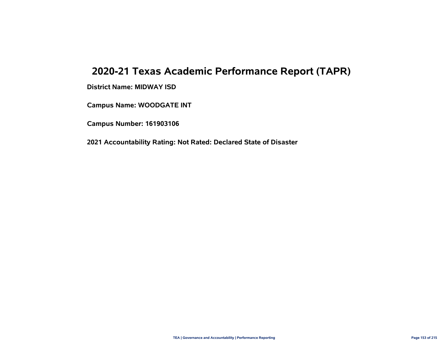# **2020-21 Texas Academic Performance Report (TAPR)**

**District Name: MIDWAY ISD**

**Campus Name: WOODGATE INT**

**Campus Number: 161903106**

**2021 Accountability Rating: Not Rated: Declared State of Disaster**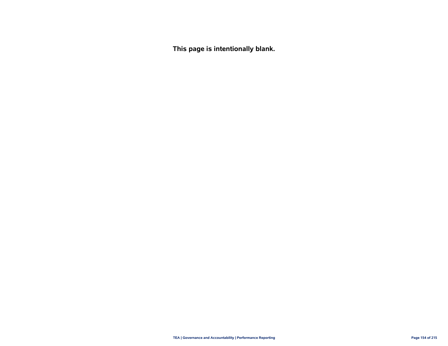**This page is intentionally blank.**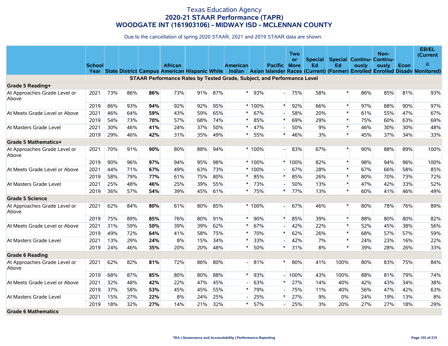# Texas Education Agency **2020-21 STAAR Performance (TAPR) WOODGATE INT (161903106) - MIDWAY ISD - MCLENNAN COUNTY**

Due to the cancellation of spring 2020 STAAR, 2021 and 2019 STAAR data are shown.

|                                       |               |     |     |     |                                                                         |     |     |                 |          |                | Two         |         |        |                                  | Non-  |      | EB/EL                                                                                                                                 |
|---------------------------------------|---------------|-----|-----|-----|-------------------------------------------------------------------------|-----|-----|-----------------|----------|----------------|-------------|---------|--------|----------------------------------|-------|------|---------------------------------------------------------------------------------------------------------------------------------------|
|                                       |               |     |     |     |                                                                         |     |     |                 |          |                | or          | Special |        | <b>Special Continu- Continu-</b> |       |      | (Current                                                                                                                              |
|                                       | <b>School</b> |     |     |     | <b>African</b>                                                          |     |     | <b>American</b> |          | <b>Pacific</b> | <b>More</b> | Ed      | Ed     | ously                            | ously | Econ | $\&$                                                                                                                                  |
|                                       |               |     |     |     |                                                                         |     |     |                 |          |                |             |         |        |                                  |       |      | Year State District Campus American Hispanic White Indian Asian Islander Races (Current) (Former) Enrolled Enrolled Disadv Monitored) |
|                                       |               |     |     |     | STAAR Performance Rates by Tested Grade, Subject, and Performance Level |     |     |                 |          |                |             |         |        |                                  |       |      |                                                                                                                                       |
| <b>Grade 5 Reading+</b>               |               | 73% | 86% | 86% | 73%                                                                     |     |     | $\ast$          |          |                | 75%         | 58%     | $\ast$ | 86%                              | 85%   | 81%  | 93%                                                                                                                                   |
| At Approaches Grade Level or<br>Above | 2021          |     |     |     |                                                                         | 91% | 87% |                 | 93%      |                |             |         |        |                                  |       |      |                                                                                                                                       |
|                                       | 2019          | 86% | 93% | 94% | 92%                                                                     | 92% | 95% |                 | * 100%   | $\ast$         | 92%         | 66%     | $\ast$ | 97%                              | 88%   | 90%  | 97%                                                                                                                                   |
| At Meets Grade Level or Above         | 2021          | 46% | 64% | 59% | 43%                                                                     | 59% | 65% | $\ast$          | 67%      |                | 58%         | 20%     | $\ast$ | 61%                              | 55%   | 47%  | 67%                                                                                                                                   |
|                                       | 2019          | 54% | 73% | 70% | 57%                                                                     | 68% | 74% | $\ast$          | 85%      | $\ast$         | 69%         | 29%     | $\ast$ | 75%                              | 60%   | 63%  | 69%                                                                                                                                   |
| At Masters Grade Level                | 2021          | 30% | 46% | 41% | 24%                                                                     | 37% | 50% | $\ast$          | 47%      |                | 50%         | 9%      | $\ast$ | 46%                              | 30%   | 30%  | 48%                                                                                                                                   |
|                                       | 2019          | 29% | 46% | 42% | 31%                                                                     | 35% | 49% | $\ast$          | 55%      | $\ast$         | 46%         | 3%      | $\ast$ | 45%                              | 37%   | 34%  | 33%                                                                                                                                   |
| <b>Grade 5 Mathematics+</b>           |               |     |     |     |                                                                         |     |     |                 |          |                |             |         |        |                                  |       |      |                                                                                                                                       |
| At Approaches Grade Level or<br>Above | 2021          | 70% | 91% | 90% | 80%                                                                     | 88% | 94% |                 | $*100\%$ |                | 83%         | 67%     | $\ast$ | 90%                              | 88%   | 89%  | 100%                                                                                                                                  |
|                                       | 2019          | 90% | 96% | 97% | 94%                                                                     | 95% | 98% |                 | $*100%$  | $\ast$         | 100%        | 82%     | $\ast$ | 98%                              | 94%   | 96%  | 100%                                                                                                                                  |
| At Meets Grade Level or Above         | 2021          | 44% | 71% | 67% | 49%                                                                     | 63% | 73% |                 | * 100%   |                | 67%         | 28%     | $\ast$ | 67%                              | 66%   | 58%  | 85%                                                                                                                                   |
|                                       | 2019          | 58% | 79% | 77% | 61%                                                                     | 75% | 80% |                 | 85%      | $\ast$         | 85%         | 26%     | $\ast$ | 80%                              | 70%   | 73%  | 72%                                                                                                                                   |
| At Masters Grade Level                | 2021          | 25% | 48% | 46% | 25%                                                                     | 39% | 55% | $\ast$          | 73%      |                | 50%         | 13%     | $\ast$ | 47%                              | 42%   | 33%  | 52%                                                                                                                                   |
|                                       | 2019          | 36% | 57% | 54% | 39%                                                                     | 45% | 61% | ∗               | 75%      | $\ast$         | 77%         | 13%     | $\ast$ | 60%                              | 41%   | 46%  | 49%                                                                                                                                   |
| <b>Grade 5 Science</b>                |               |     |     |     |                                                                         |     |     |                 |          |                |             |         |        |                                  |       |      |                                                                                                                                       |
| At Approaches Grade Level or<br>Above | 2021          | 62% | 84% | 80% | 61%                                                                     | 80% | 85% |                 | $*100%$  |                | 67%         | 46%     | $\ast$ | 80%                              | 78%   | 76%  | 89%                                                                                                                                   |
|                                       | 2019          | 75% | 89% | 85% | 76%                                                                     | 80% | 91% |                 | 90%      | $\ast$         | 85%         | 39%     | $\ast$ | 88%                              | 80%   | 80%  | 82%                                                                                                                                   |
| At Meets Grade Level or Above         | 2021          | 31% | 59% | 50% | 39%                                                                     | 39% | 62% |                 | 67%      |                | 42%         | 22%     | $\ast$ | 52%                              | 45%   | 38%  | 56%                                                                                                                                   |
|                                       | 2019          | 49% | 72% | 64% | 41%                                                                     | 58% | 75% |                 | 70%      | $\ast$         | 62%         | 26%     | $\ast$ | 68%                              | 57%   | 57%  | 59%                                                                                                                                   |
| At Masters Grade Level                | 2021          | 13% | 29% | 24% | 8%                                                                      | 15% | 34% |                 | 33%      |                | 42%         | 7%      | $\ast$ | 24%                              | 23%   | 16%  | 22%                                                                                                                                   |
|                                       | 2019          | 24% | 46% | 35% | 20%                                                                     | 20% | 48% | $\ast$          | 50%      | $\ast$         | 31%         | 8%      | $\ast$ | 39%                              | 28%   | 26%  | 33%                                                                                                                                   |
| <b>Grade 6 Reading</b>                |               |     |     |     |                                                                         |     |     |                 |          |                |             |         |        |                                  |       |      |                                                                                                                                       |
| At Approaches Grade Level or<br>Above | 2021          | 62% | 82% | 81% | 72%                                                                     | 86% | 80% |                 | 81%      | $\ast$         | 80%         | 41%     | 100%   | 80%                              | 83%   | 75%  | 84%                                                                                                                                   |
|                                       | 2019          | 68% | 87% | 85% | 80%                                                                     | 80% | 88% | $\pmb{\ast}$    | 93%      |                | 100%        | 43%     | 100%   | 88%                              | 81%   | 79%  | 74%                                                                                                                                   |
| At Meets Grade Level or Above         | 2021          | 32% | 48% | 42% | 22%                                                                     | 47% | 45% |                 | 63%      | $\ast$         | 27%         | 14%     | 40%    | 42%                              | 43%   | 34%  | 38%                                                                                                                                   |
|                                       | 2019          | 37% | 58% | 53% | 45%                                                                     | 45% | 55% |                 | 79%      |                | 75%         | 11%     | 40%    | 56%                              | 47%   | 42%  | 63%                                                                                                                                   |
| At Masters Grade Level                | 2021          | 15% | 27% | 22% | 8%                                                                      | 24% | 25% |                 | 25%      | $\ast$         | 27%         | 9%      | 0%     | 24%                              | 19%   | 13%  | 8%                                                                                                                                    |
|                                       | 2019          | 18% | 32% | 27% | 14%                                                                     | 21% | 32% |                 | 57%      |                | 25%         | 3%      | 20%    | 27%                              | 27%   | 18%  | 29%                                                                                                                                   |
| <b>Grade 6 Mathematics</b>            |               |     |     |     |                                                                         |     |     |                 |          |                |             |         |        |                                  |       |      |                                                                                                                                       |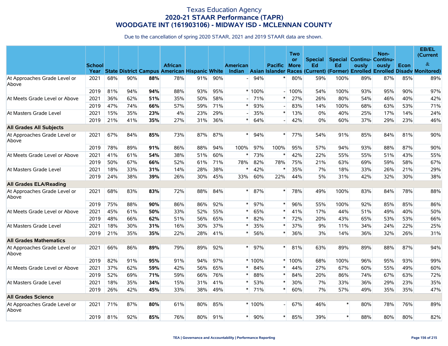# Texas Education Agency **2020-21 STAAR Performance (TAPR) WOODGATE INT (161903106) - MIDWAY ISD - MCLENNAN COUNTY**

Due to the cancellation of spring 2020 STAAR, 2021 and 2019 STAAR data are shown.

|                                       |                       |     |     |     |                |     |     |                 |        |                | <b>Two</b>               | Special |        | <b>Special Continu- Continu-</b> | Non-  |      | EB/EL<br>(Current                                                                                                                     |
|---------------------------------------|-----------------------|-----|-----|-----|----------------|-----|-----|-----------------|--------|----------------|--------------------------|---------|--------|----------------------------------|-------|------|---------------------------------------------------------------------------------------------------------------------------------------|
|                                       | <b>School</b><br>Year |     |     |     | <b>African</b> |     |     | <b>American</b> |        | <b>Pacific</b> | <b>or</b><br><b>More</b> | Ed      | Ed     | ously                            | ously | Econ | &<br>State District Campus American Hispanic White Indian Asian Islander Races (Current) (Former) Enrolled Enrolled Disady Monitored) |
| At Approaches Grade Level or<br>Above | 2021                  | 68% | 90% | 88% | 78%            | 91% | 90% |                 | 94%    | $\ast$         | 80%                      | 59%     | 100%   | 89%                              | 87%   | 85%  | 89%                                                                                                                                   |
|                                       | 2019                  | 81% | 94% | 94% | 88%            | 93% | 95% |                 | * 100% |                | 100%                     | 54%     | 100%   | 93%                              | 95%   | 90%  | 97%                                                                                                                                   |
| At Meets Grade Level or Above         | 2021                  | 36% | 62% | 51% | 35%            | 50% | 58% |                 | 71%    |                | 27%                      | 26%     | 80%    | 54%                              | 46%   | 40%  | 42%                                                                                                                                   |
|                                       | 2019                  | 47% | 74% | 66% | 57%            | 59% | 71% |                 | 93%    |                | 83%                      | 14%     | 100%   | 68%                              | 63%   | 53%  | 71%                                                                                                                                   |
| At Masters Grade Level                | 2021                  | 15% | 35% | 23% | 4%             | 23% | 29% |                 | 35%    | $\ast$         | 13%                      | 0%      | 40%    | 25%                              | 17%   | 14%  | 24%                                                                                                                                   |
|                                       | 2019                  | 21% | 41% | 35% | 27%            | 31% | 36% |                 | 64%    |                | 42%                      | 0%      | 60%    | 37%                              | 29%   | 23%  | 46%                                                                                                                                   |
| <b>All Grades All Subjects</b>        |                       |     |     |     |                |     |     |                 |        |                |                          |         |        |                                  |       |      |                                                                                                                                       |
| At Approaches Grade Level or<br>Above | 2021                  | 67% | 84% | 85% | 73%            | 87% | 87% | $\ast$          | 94%    | $\ast$         | 77%                      | 54%     | 91%    | 85%                              | 84%   | 81%  | 90%                                                                                                                                   |
|                                       | 2019                  | 78% | 89% | 91% | 86%            | 88% | 94% | 100%            | 97%    | 100%           | 95%                      | 57%     | 94%    | 93%                              | 88%   | 87%  | 90%                                                                                                                                   |
| At Meets Grade Level or Above         | 2021                  | 41% | 61% | 54% | 38%            | 51% | 60% |                 | 73%    |                | 42%                      | 22%     | 55%    | 55%                              | 51%   | 43%  | 55%                                                                                                                                   |
|                                       | 2019                  | 50% | 67% | 66% | 52%            | 61% | 71% | 78%             | 82%    | 78%            | 75%                      | 21%     | 63%    | 69%                              | 59%   | 58%  | 67%                                                                                                                                   |
| At Masters Grade Level                | 2021                  | 18% | 33% | 31% | 14%            | 28% | 38% |                 | 42%    | $\ast$         | 35%                      | 7%      | 18%    | 33%                              | 26%   | 21%  | 29%                                                                                                                                   |
|                                       | 2019                  | 24% | 38% | 39% | 26%            | 30% | 45% | 33%             | 60%    | 22%            | 44%                      | 5%      | 31%    | 42%                              | 32%   | 30%  | 38%                                                                                                                                   |
| <b>All Grades ELA/Reading</b>         |                       |     |     |     |                |     |     |                 |        |                |                          |         |        |                                  |       |      |                                                                                                                                       |
| At Approaches Grade Level or<br>Above | 2021                  | 68% | 83% | 83% | 72%            | 88% | 84% | $\ast$          | 87%    | $\ast$         | 78%                      | 49%     | 100%   | 83%                              | 84%   | 78%  | 88%                                                                                                                                   |
|                                       | 2019                  | 75% | 88% | 90% | 86%            | 86% | 92% | $\ast$          | 97%    | $\ast$         | 96%                      | 55%     | 100%   | 92%                              | 85%   | 85%  | 86%                                                                                                                                   |
| At Meets Grade Level or Above         | 2021                  | 45% | 61% | 50% | 33%            | 52% | 55% | $\ast$          | 65%    | $\ast$         | 41%                      | 17%     | 44%    | 51%                              | 49%   | 40%  | 50%                                                                                                                                   |
|                                       | 2019                  | 48% | 66% | 62% | 51%            | 56% | 65% | $\ast$          | 82%    | $\ast$         | 72%                      | 20%     | 43%    | 65%                              | 53%   | 53%  | 66%                                                                                                                                   |
| At Masters Grade Level                | 2021                  | 18% | 30% | 31% | 16%            | 30% | 37% | $\ast$          | 35%    | $\ast$         | 37%                      | 9%      | 11%    | 34%                              | 24%   | 22%  | 25%                                                                                                                                   |
|                                       | 2019                  | 21% | 35% | 35% | 22%            | 28% | 41% |                 | 56%    | $\ast$         | 36%                      | 3%      | 14%    | 36%                              | 32%   | 26%  | 31%                                                                                                                                   |
| <b>All Grades Mathematics</b>         |                       |     |     |     |                |     |     |                 |        |                |                          |         |        |                                  |       |      |                                                                                                                                       |
| At Approaches Grade Level or<br>Above | 2021                  | 66% | 86% | 89% | 79%            | 89% | 92% | $\ast$          | 97%    | $\ast$         | 81%                      | 63%     | 89%    | 89%                              | 88%   | 87%  | 94%                                                                                                                                   |
|                                       | 2019                  | 82% | 91% | 95% | 91%            | 94% | 97% |                 | * 100% | *              | 100%                     | 68%     | 100%   | 96%                              | 95%   | 93%  | 99%                                                                                                                                   |
| At Meets Grade Level or Above         | 2021                  | 37% | 62% | 59% | 42%            | 56% | 65% |                 | 84%    |                | 44%                      | 27%     | 67%    | 60%                              | 55%   | 49%  | 60%                                                                                                                                   |
|                                       | 2019                  | 52% | 69% | 71% | 59%            | 66% | 76% |                 | 88%    | $\ast$         | 84%                      | 20%     | 86%    | 74%                              | 67%   | 63%  | 72%                                                                                                                                   |
| At Masters Grade Level                | 2021                  | 18% | 35% | 34% | 15%            | 31% | 41% |                 | 53%    | $\ast$         | 30%                      | 7%      | 33%    | 36%                              | 29%   | 23%  | 35%                                                                                                                                   |
|                                       | 2019                  | 26% | 42% | 45% | 33%            | 38% | 49% |                 | 71%    | $\ast$         | 60%                      | 7%      | 57%    | 49%                              | 35%   | 35%  | 47%                                                                                                                                   |
| <b>All Grades Science</b>             |                       |     |     |     |                |     |     |                 |        |                |                          |         |        |                                  |       |      |                                                                                                                                       |
| At Approaches Grade Level or<br>Above | 2021                  | 71% | 87% | 80% | 61%            | 80% | 85% |                 | * 100% |                | 67%                      | 46%     | $\ast$ | 80%                              | 78%   | 76%  | 89%                                                                                                                                   |
|                                       | 2019                  | 81% | 92% | 85% | 76%            | 80% | 91% | $\ast$          | 90%    | $\ast$         | 85%                      | 39%     | $\ast$ | 88%                              | 80%   | 80%  | 82%                                                                                                                                   |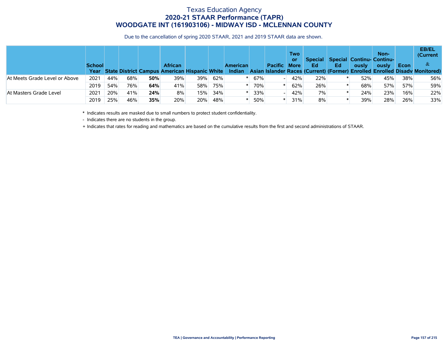## Texas Education Agency **2020-21 STAAR Performance (TAPR) WOODGATE INT (161903106) - MIDWAY ISD - MCLENNAN COUNTY**

Due to the cancellation of spring 2020 STAAR, 2021 and 2019 STAAR data are shown.

|                               | <b>School</b><br>Year |     |     |     | <b>African</b><br><b>State District Campus American Hispanic White</b> |     |     | <b>American</b><br><b>Indian</b> |     | <b>Pacific</b> | <b>Two</b><br>or<br><b>More</b> | <b>Special</b><br>Ed | Ed | <b>Special Continu- Continu-</b><br>ouslv | Non-<br>ously | Econ | <b>EB/EL</b><br>(Current<br>&<br>Asian Islander Races (Current) (Former) Enrolled Enrolled Disady Monitored) |
|-------------------------------|-----------------------|-----|-----|-----|------------------------------------------------------------------------|-----|-----|----------------------------------|-----|----------------|---------------------------------|----------------------|----|-------------------------------------------|---------------|------|--------------------------------------------------------------------------------------------------------------|
| At Meets Grade Level or Above | 2021                  | 44% | 68% | 50% | 39%                                                                    | 39% | 62% |                                  | 67% |                | 42%                             | 22%                  |    | 52%                                       | 45%           | 38%  | 56%                                                                                                          |
|                               | 2019                  | 54% | 76% | 64% | 41%                                                                    | 58% | 75% |                                  | 70% |                | 62%                             | 26%                  |    | 68%                                       | 57%           | 57%  | 59%                                                                                                          |
| At Masters Grade Level        | 2021                  | 20% | 41% | 24% | 8%                                                                     | 15% | 34% |                                  | 33% |                | 42%                             | 7%                   |    | 24%                                       | 23%           | 16%  | 22%                                                                                                          |
|                               | 2019                  | 25% | 46% | 35% | 20%                                                                    | 20% | 48% |                                  | 50% |                | 31%                             | 8%                   |    | 39%                                       | 28%           | 26%  | 33%                                                                                                          |

\* Indicates results are masked due to small numbers to protect student confidentiality.

- Indicates there are no students in the group.

+ Indicates that rates for reading and mathematics are based on the cumulative results from the first and second administrations of STAAR.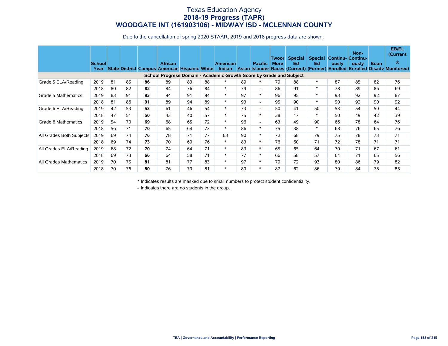## Texas Education Agency **2018-19 Progress (TAPR) WOODGATE INT (161903106) - MIDWAY ISD - MCLENNAN COUNTY**

Due to the cancellation of spring 2020 STAAR, 2019 and 2018 progress data are shown.

|                          | <b>School</b><br>Year |    |    |    | <b>African</b><br><b>State District Campus American Hispanic White</b> |    |    | <b>American</b><br><b>Indian</b> |    | <b>Pacific</b>           | Twoor<br><b>More</b> | Special  <br>Ed | Ed     | <b>Special Continu- Continu-</b><br>ously | Non-<br>ously | Econ | <b>EB/EL</b><br>(Current)<br>$\&$<br>Asian Islander Races (Current) (Former) Enrolled Enrolled Disady Monitored) |
|--------------------------|-----------------------|----|----|----|------------------------------------------------------------------------|----|----|----------------------------------|----|--------------------------|----------------------|-----------------|--------|-------------------------------------------|---------------|------|------------------------------------------------------------------------------------------------------------------|
|                          |                       |    |    |    | School Progress Domain - Academic Growth Score by Grade and Subject    |    |    |                                  |    |                          |                      |                 |        |                                           |               |      |                                                                                                                  |
| Grade 5 ELA/Reading      | 2019                  | 81 | 85 | 86 | 89                                                                     | 83 | 88 | $\ast$                           | 89 | $\ast$                   | 79                   | 88              | $\ast$ | 87                                        | 85            | 82   | 76                                                                                                               |
|                          | 2018                  | 80 | 82 | 82 | 84                                                                     | 76 | 84 | $\ast$                           | 79 | $\overline{\phantom{a}}$ | 86                   | 91              | $\ast$ | 78                                        | 89            | 86   | 69                                                                                                               |
| Grade 5 Mathematics      | 2019                  | 83 | 91 | 93 | 94                                                                     | 91 | 94 | $\ast$                           | 97 | $\ast$                   | 96                   | 95              | $\ast$ | 93                                        | 92            | 92   | 87                                                                                                               |
|                          | 2018                  | 81 | 86 | 91 | 89                                                                     | 94 | 89 | $\ast$                           | 93 | $\overline{\phantom{a}}$ | 95                   | 90              | $\ast$ | 90                                        | 92            | 90   | 92                                                                                                               |
| Grade 6 ELA/Reading      | 2019                  | 42 | 53 | 53 | 61                                                                     | 46 | 54 | $\ast$                           | 73 | $\overline{\phantom{a}}$ | 50                   | 41              | 50     | 53                                        | 54            | 50   | 44                                                                                                               |
|                          | 2018                  | 47 | 51 | 50 | 43                                                                     | 40 | 57 | $\ast$                           | 75 | $\ast$                   | 38                   | 17              | $\ast$ | 50                                        | 49            | 42   | 39                                                                                                               |
| Grade 6 Mathematics      | 2019                  | 54 | 70 | 69 | 68                                                                     | 65 | 72 | $\ast$                           | 96 | $\overline{\phantom{a}}$ | 63                   | 49              | 90     | 66                                        | 78            | 64   | 76                                                                                                               |
|                          | 2018                  | 56 | 71 | 70 | 65                                                                     | 64 | 73 | $\ast$                           | 86 | $\ast$                   | 75                   | 38              | $\ast$ | 68                                        | 76            | 65   | 76                                                                                                               |
| All Grades Both Subjects | 2019                  | 69 | 74 | 76 | 78                                                                     | 71 | 77 | 63                               | 90 | $\ast$                   | 72                   | 68              | 79     | 75                                        | 78            | 73   | 71                                                                                                               |
|                          | 2018                  | 69 | 74 | 73 | 70                                                                     | 69 | 76 | $\ast$                           | 83 | $\ast$                   | 76                   | 60              | 71     | 72                                        | 78            | 71   | 71                                                                                                               |
| All Grades ELA/Reading   | 2019                  | 68 | 72 | 70 | 74                                                                     | 64 | 71 | $\ast$                           | 83 | $\ast$                   | 65                   | 65              | 64     | 70                                        | 71            | 67   | 61                                                                                                               |
|                          | 2018                  | 69 | 73 | 66 | 64                                                                     | 58 | 71 | $\ast$                           | 77 | $\ast$                   | 66                   | 58              | 57     | 64                                        | 71            | 65   | 56                                                                                                               |
| All Grades Mathematics   | 2019                  | 70 | 75 | 81 | 81                                                                     | 77 | 83 | $\ast$                           | 97 | $\ast$                   | 79                   | 72              | 93     | 80                                        | 86            | 79   | 82                                                                                                               |
|                          | 2018                  | 70 | 76 | 80 | 76                                                                     | 79 | 81 | $\ast$                           | 89 | $\ast$                   | 87                   | 62              | 86     | 79                                        | 84            | 78   | 85                                                                                                               |

\* Indicates results are masked due to small numbers to protect student confidentiality.

- Indicates there are no students in the group.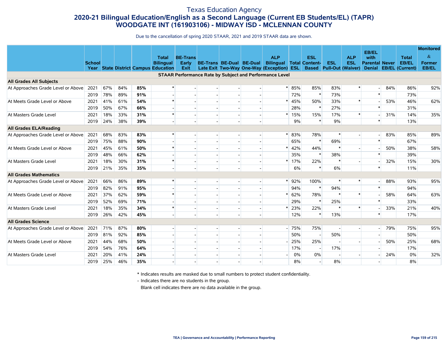# Texas Education Agency **2020-21 Bilingual Education/English as a Second Language (Current EB Students/EL) (TAPR) WOODGATE INT (161903106) - MIDWAY ISD - MCLENNAN COUNTY**

Due to the cancellation of spring 2020 STAAR, 2021 and 2019 STAAR data are shown.

|                                    |               |     |     |     |                                                                 |                          |                                 |                                                                |        |                       |                                       |            |                       |     |                                 | <b>Monitored</b>              |
|------------------------------------|---------------|-----|-----|-----|-----------------------------------------------------------------|--------------------------|---------------------------------|----------------------------------------------------------------|--------|-----------------------|---------------------------------------|------------|-----------------------|-----|---------------------------------|-------------------------------|
|                                    |               |     |     |     | <b>Total</b>                                                    | <b>BE-Trans</b>          |                                 | <b>ALP</b>                                                     |        | <b>ESL</b>            |                                       | <b>ALP</b> | EB/EL<br>with         |     | <b>Total</b>                    | $\&$                          |
|                                    | <b>School</b> |     |     |     | <b>Bilingual</b><br><b>Year State District Campus Education</b> | Early<br><b>Exit</b>     | <b>BE-Trans BE-Dual BE-Dual</b> | <b>Bilingual</b><br>Late Exit Two-Way One-Way (Exception) ESL  |        | <b>Total Content-</b> | <b>ESL</b><br>Based Pull-Out (Waiver) | <b>ESL</b> | <b>Parental Never</b> |     | EB/EL<br>Denial EB/EL (Current) | <b>Former</b><br><b>EB/EL</b> |
|                                    |               |     |     |     |                                                                 |                          |                                 | <b>STAAR Performance Rate by Subject and Performance Level</b> |        |                       |                                       |            |                       |     |                                 |                               |
| <b>All Grades All Subjects</b>     |               |     |     |     |                                                                 |                          |                                 |                                                                |        |                       |                                       |            |                       |     |                                 |                               |
| At Approaches Grade Level or Above | 2021          | 67% | 84% | 85% | *                                                               | $\overline{\phantom{a}}$ |                                 |                                                                | 85%    | 85%                   | 83%                                   |            |                       | 84% | 86%                             | 92%                           |
|                                    | 2019          | 78% | 89% | 91% | $\overline{a}$                                                  |                          |                                 |                                                                | 72%    | $\ast$                | 73%                                   |            |                       |     | 73%                             |                               |
| At Meets Grade Level or Above      | 2021          | 41% | 61% | 54% | $\ast$                                                          |                          |                                 |                                                                | 45%    | 50%                   | 33%                                   |            |                       | 53% | 46%                             | 62%                           |
|                                    | 2019          | 50% | 67% | 66% |                                                                 |                          |                                 |                                                                | 28%    |                       | 27%                                   |            |                       |     | 31%                             |                               |
| At Masters Grade Level             | 2021          | 18% | 33% | 31% | $\ast$                                                          |                          |                                 |                                                                | 15%    | 15%                   | 17%                                   |            |                       | 31% | 14%                             | 35%                           |
|                                    | 2019          | 24% | 38% | 39% |                                                                 |                          |                                 |                                                                | 9%     | $\ast$                | 9%                                    |            |                       |     | 13%                             |                               |
| <b>All Grades ELA/Reading</b>      |               |     |     |     |                                                                 |                          |                                 |                                                                |        |                       |                                       |            |                       |     |                                 |                               |
| At Approaches Grade Level or Above | 2021          | 68% | 83% | 83% | $\ast$                                                          |                          |                                 |                                                                | 83%    | 78%                   | $\ast$                                |            |                       | 83% | 85%                             | 89%                           |
|                                    | 2019          | 75% | 88% | 90% |                                                                 |                          |                                 |                                                                | 65%    | $\ast$                | 69%                                   |            |                       |     | 67%                             |                               |
| At Meets Grade Level or Above      | 2021          | 45% | 61% | 50% | $\ast$                                                          |                          |                                 | $\ast$                                                         | 42%    | 44%                   | $\ast$                                |            |                       | 50% | 38%                             | 58%                           |
|                                    | 2019          | 48% | 66% | 62% |                                                                 |                          |                                 |                                                                | 35%    | $\ast$                | 38%                                   |            |                       |     | 39%                             |                               |
| At Masters Grade Level             | 2021          | 18% | 30% | 31% | $\ast$                                                          |                          |                                 | $\ast$                                                         | 17%    | 22%                   | $\ast$                                |            |                       | 32% | 15%                             | 30%                           |
|                                    | 2019          | 21% | 35% | 35% | $\overline{\phantom{a}}$                                        |                          |                                 |                                                                | 6%     | $\ast$                | 6%                                    |            |                       |     | 11%                             |                               |
| <b>All Grades Mathematics</b>      |               |     |     |     |                                                                 |                          |                                 |                                                                |        |                       |                                       |            |                       |     |                                 |                               |
| At Approaches Grade Level or Above | 2021          | 66% | 86% | 89% | $\ast$                                                          |                          |                                 |                                                                | 92%    | 100%                  |                                       |            |                       | 88% | 93%                             | 95%                           |
|                                    | 2019          | 82% | 91% | 95% |                                                                 |                          |                                 |                                                                | 94%    |                       | 94%                                   |            |                       |     | 94%                             |                               |
| At Meets Grade Level or Above      | 2021          | 37% | 62% | 59% | $\ast$                                                          | $\overline{\phantom{a}}$ |                                 |                                                                | 62%    | 78%                   | $\ast$                                | $\ast$     |                       | 58% | 64%                             | 63%                           |
|                                    | 2019          | 52% | 69% | 71% |                                                                 |                          |                                 |                                                                | 29%    | $\ast$                | 25%                                   |            |                       |     | 33%                             |                               |
| At Masters Grade Level             | 2021          | 18% | 35% | 34% | $\ast$                                                          | $\blacksquare$           |                                 |                                                                | 23%    | 22%                   |                                       |            |                       | 33% | 21%                             | 40%                           |
|                                    | 2019          | 26% | 42% | 45% |                                                                 |                          |                                 |                                                                | 12%    |                       | 13%                                   |            |                       |     | 17%                             |                               |
| <b>All Grades Science</b>          |               |     |     |     |                                                                 |                          |                                 |                                                                |        |                       |                                       |            |                       |     |                                 |                               |
| At Approaches Grade Level or Above | 2021          | 71% | 87% | 80% |                                                                 |                          |                                 |                                                                | $-75%$ | 75%                   |                                       |            |                       | 79% | 75%                             | 95%                           |
|                                    | 2019          | 81% | 92% | 85% |                                                                 |                          |                                 |                                                                | 50%    |                       | 50%                                   |            |                       |     | 50%                             |                               |
| At Meets Grade Level or Above      | 2021          | 44% | 68% | 50% |                                                                 |                          |                                 |                                                                | 25%    | 25%                   |                                       |            |                       | 50% | 25%                             | 68%                           |
|                                    | 2019          | 54% | 76% | 64% |                                                                 |                          |                                 |                                                                | 17%    |                       | 17%                                   |            |                       |     | 17%                             |                               |
| At Masters Grade Level             | 2021          | 20% | 41% | 24% |                                                                 |                          |                                 |                                                                | 0%     | 0%                    |                                       |            |                       | 24% | 0%                              | 32%                           |
|                                    | 2019          | 25% | 46% | 35% |                                                                 |                          |                                 |                                                                | 8%     |                       | 8%                                    |            |                       |     | 8%                              |                               |

\* Indicates results are masked due to small numbers to protect student confidentiality.

- Indicates there are no students in the group.

Blank cell indicates there are no data available in the group.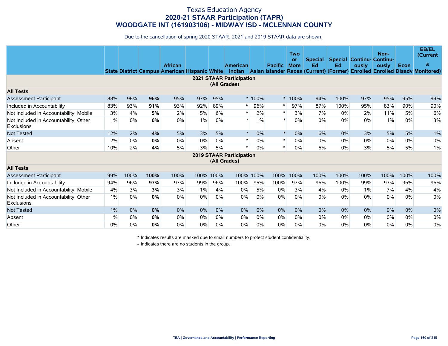# Texas Education Agency **2020-21 STAAR Participation (TAPR) WOODGATE INT (161903106) - MIDWAY ISD - MCLENNAN COUNTY**

Due to the cancellation of spring 2020 STAAR, 2021 and 2019 STAAR data are shown.

|                                                            |       |      |      | <b>African</b><br><b>State District Campus American Hispanic White</b> |      |      | <b>American</b>                                 |           | <b>Pacific</b> | <b>Two</b><br>or<br><b>More</b> | <b>Special</b><br>Ed | Ed    | <b>Special Continu- Continu-</b><br>ously | Non-<br>ously | Econ  | <b>EB/EL</b><br>(Current)<br>$\&$<br>Indian Asian Islander Races (Current) (Former) Enrolled Enrolled Disady Monitored) |
|------------------------------------------------------------|-------|------|------|------------------------------------------------------------------------|------|------|-------------------------------------------------|-----------|----------------|---------------------------------|----------------------|-------|-------------------------------------------|---------------|-------|-------------------------------------------------------------------------------------------------------------------------|
|                                                            |       |      |      |                                                                        |      |      | <b>2021 STAAR Participation</b><br>(All Grades) |           |                |                                 |                      |       |                                           |               |       |                                                                                                                         |
| <b>All Tests</b>                                           |       |      |      |                                                                        |      |      |                                                 |           |                |                                 |                      |       |                                           |               |       |                                                                                                                         |
| <b>Assessment Participant</b>                              | 88%   | 98%  | 96%  | 95%                                                                    | 97%  | 95%  |                                                 | * 100%    | $\ast$         | 100%                            | 94%                  | 100%  | 97%                                       | 95%           | 95%   | 99%                                                                                                                     |
| Included in Accountability                                 | 83%   | 93%  | 91%  | 93%                                                                    | 92%  | 89%  | *                                               | 96%       | $\ast$         | 97%                             | 87%                  | 100%  | 95%                                       | 83%           | 90%   | 90%                                                                                                                     |
| Not Included in Accountability: Mobile                     | 3%    | 4%   | 5%   | 2%                                                                     | 5%   | 6%   | $\ast$                                          | 2%        | $\ast$         | 3%                              | 7%                   | $0\%$ | 2%                                        | 11%           | 5%    | 6%                                                                                                                      |
| Not Included in Accountability: Other<br><b>Exclusions</b> | 1%    | 0%   | 0%   | 0%                                                                     | 1%   | 0%   | $\ast$                                          | 1%        | $\ast$         | 0%                              | $0\%$                | $0\%$ | 0%                                        | 1%            | 0%    | 3%                                                                                                                      |
| <b>Not Tested</b>                                          | 12%   | 2%   | 4%   | 5%                                                                     | 3%   | 5%   | $\ast$                                          | 0%        | $\ast$         | $0\%$                           | 6%                   | 0%    | 3%                                        | 5%            | 5%    | 1%                                                                                                                      |
| Absent                                                     | 2%    | 0%   | 0%   | 0%                                                                     | 0%   | 0%   | $\ast$                                          | 0%        | $\ast$         | 0%                              | $0\%$                | $0\%$ | 0%                                        | 0%            | 0%    | 0%                                                                                                                      |
| Other                                                      | 10%   | 2%   | 4%   | 5%                                                                     | 3%   | 5%   | *                                               | 0%        | $\ast$         | 0%                              | 6%                   | 0%    | 3%                                        | 5%            | 5%    | 1%                                                                                                                      |
|                                                            |       |      |      |                                                                        |      |      | <b>2019 STAAR Participation</b><br>(All Grades) |           |                |                                 |                      |       |                                           |               |       |                                                                                                                         |
| <b>All Tests</b>                                           |       |      |      |                                                                        |      |      |                                                 |           |                |                                 |                      |       |                                           |               |       |                                                                                                                         |
| <b>Assessment Participant</b>                              | 99%   | 100% | 100% | 100%                                                                   | 100% | 100% |                                                 | 100% 100% | 100%           | 100%                            | 100%                 | 100%  | 100%                                      | 100%          | 100%  | 100%                                                                                                                    |
| Included in Accountability                                 | 94%   | 96%  | 97%  | 97%                                                                    | 99%  | 96%  | 100%                                            | 95%       | 100%           | 97%                             | 96%                  | 100%  | 99%                                       | 93%           | 96%   | 96%                                                                                                                     |
| Not Included in Accountability: Mobile                     | 4%    | 3%   | 3%   | 3%                                                                     | 1%   | 4%   | 0%                                              | 5%        | $0\%$          | 3%                              | 4%                   | 0%    | 1%                                        | 7%            | 4%    | 4%                                                                                                                      |
| Not Included in Accountability: Other<br><b>Exclusions</b> | 1%    | 0%   | 0%   | 0%                                                                     | 0%   | 0%   | $0\%$                                           | 0%        | $0\%$          | 0%                              | $0\%$                | $0\%$ | 0%                                        | $0\%$         | 0%    | 0%                                                                                                                      |
| <b>Not Tested</b>                                          | $1\%$ | 0%   | 0%   | 0%                                                                     | 0%   | 0%   | 0%                                              | 0%        | 0%             | 0%                              | $0\%$                | 0%    | 0%                                        | 0%            | 0%    | 0%                                                                                                                      |
| Absent                                                     | 1%    | 0%   | 0%   | 0%                                                                     | 0%   | 0%   | 0%                                              | $0\%$     | 0%             | 0%                              | $0\%$                | $0\%$ | 0%                                        | 0%            | $0\%$ | 0%                                                                                                                      |
| Other                                                      | 0%    | 0%   | 0%   | 0%                                                                     | 0%   | 0%   | 0%                                              | 0%        | $0\%$          | 0%                              | $0\%$                | $0\%$ | 0%                                        | 0%            | 0%    | 0%                                                                                                                      |

\* Indicates results are masked due to small numbers to protect student confidentiality.

- Indicates there are no students in the group.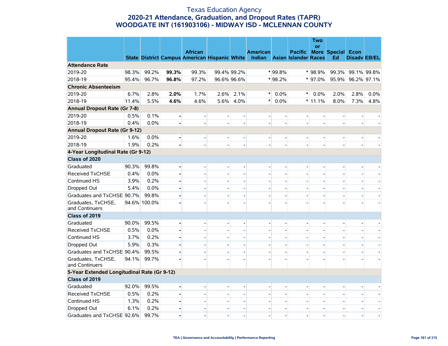#### Texas Education Agency **2020-21 Attendance, Graduation, and Dropout Rates (TAPR) WOODGATE INT (161903106) - MIDWAY ISD - MCLENNAN COUNTY**

|                                             |       |              |                | <b>African</b>                                                            |                          |                          | <b>American</b>          |                          | <b>Pacific</b> | Two<br><b>or</b> | More Special Econ        |                          |                   |
|---------------------------------------------|-------|--------------|----------------|---------------------------------------------------------------------------|--------------------------|--------------------------|--------------------------|--------------------------|----------------|------------------|--------------------------|--------------------------|-------------------|
|                                             |       |              |                | State District Campus American Hispanic White Indian Asian Islander Races |                          |                          |                          |                          |                |                  | Ed                       | <b>Disady EB/EL</b>      |                   |
| <b>Attendance Rate</b>                      |       |              |                |                                                                           |                          |                          |                          |                          |                |                  |                          |                          |                   |
| 2019-20                                     | 98.3% | 99.2%        | 99.3%          | 99.3%                                                                     |                          | 99.4% 99.2%              |                          | * 99.8%                  |                | $*$ 98.9%        |                          | 99.3% 99.1% 99.8%        |                   |
| 2018-19                                     | 95.4% | 96.7%        | 96.8%          | 97.2%                                                                     |                          | 96.6% 96.6%              |                          | $*98.2%$                 |                | $*$ 97.0%        |                          | 95.9% 96.2% 97.1%        |                   |
| <b>Chronic Absenteeism</b>                  |       |              |                |                                                                           |                          |                          |                          |                          |                |                  |                          |                          |                   |
| 2019-20                                     | 6.7%  | 2.8%         | 2.0%           | 1.7%                                                                      | 2.6%                     | 2.1%                     | $^{\ast}$                | $0.0\%$                  | $\ast$         | 0.0%             | 2.0%                     | 2.8%                     | 0.0%              |
| 2018-19                                     | 11.4% | 5.5%         | 4.6%           | 4.6%                                                                      | 5.6%                     | 4.0%                     | $\ast$                   | $0.0\%$                  |                | $*11.1%$         | 8.0%                     | 7.3%                     | 4.8%              |
| <b>Annual Dropout Rate (Gr 7-8)</b>         |       |              |                |                                                                           |                          |                          |                          |                          |                |                  |                          |                          |                   |
| 2019-20                                     | 0.5%  | 0.1%         | $\blacksquare$ |                                                                           | $\overline{\phantom{0}}$ |                          |                          | $\overline{a}$           |                |                  |                          | $\overline{a}$           |                   |
| 2018-19                                     | 0.4%  | 0.0%         |                |                                                                           |                          |                          |                          |                          |                |                  |                          |                          |                   |
| <b>Annual Dropout Rate (Gr 9-12)</b>        |       |              |                |                                                                           |                          |                          |                          |                          |                |                  |                          |                          |                   |
| 2019-20                                     | 1.6%  | 0.0%         |                |                                                                           | $\overline{a}$           |                          |                          |                          |                |                  |                          |                          |                   |
| 2018-19                                     | 1.9%  | 0.2%         |                |                                                                           | $\overline{a}$           |                          |                          |                          |                |                  |                          |                          |                   |
| 4-Year Longitudinal Rate (Gr 9-12)          |       |              |                |                                                                           |                          |                          |                          |                          |                |                  |                          |                          |                   |
| Class of 2020                               |       |              |                |                                                                           |                          |                          |                          |                          |                |                  |                          |                          |                   |
| Graduated                                   | 90.3% | 99.8%        | $\blacksquare$ | $\overline{a}$                                                            | $\overline{\phantom{a}}$ | $\overline{a}$           | $\overline{\phantom{a}}$ | $\overline{a}$           | $\overline{a}$ | $\overline{a}$   | $\overline{a}$           | $\overline{\phantom{a}}$ |                   |
| <b>Received TxCHSE</b>                      | 0.4%  | 0.0%         | Ĭ.             |                                                                           |                          |                          |                          |                          |                |                  |                          |                          |                   |
| Continued HS                                | 3.9%  | 0.2%         |                |                                                                           | $\overline{a}$           |                          |                          |                          |                |                  | $\overline{a}$           | $\blacksquare$           |                   |
| Dropped Out                                 | 5.4%  | 0.0%         |                |                                                                           | $\overline{a}$           |                          |                          |                          |                |                  | $\overline{a}$           | $\blacksquare$           |                   |
| Graduates and TxCHSE 90.7%                  |       | 99.8%        |                |                                                                           | $\overline{\phantom{a}}$ |                          |                          |                          |                |                  | $\overline{a}$           |                          |                   |
| Graduates, TxCHSE,<br>and Continuers        |       | 94.6% 100.0% |                |                                                                           |                          |                          |                          |                          |                |                  |                          |                          |                   |
| Class of 2019                               |       |              |                |                                                                           |                          |                          |                          |                          |                |                  |                          |                          |                   |
| Graduated                                   | 90.0% | 99.5%        | ÷              |                                                                           | $\overline{a}$           |                          | $\overline{a}$           | $\overline{a}$           |                |                  | $\overline{a}$           | $\overline{\phantom{a}}$ |                   |
| Received TxCHSE                             | 0.5%  | 0.0%         |                |                                                                           | $\overline{a}$           |                          |                          |                          |                |                  |                          |                          |                   |
| Continued HS                                | 3.7%  | 0.2%         |                |                                                                           | $\overline{a}$           |                          |                          |                          |                |                  | $\overline{a}$           | $\qquad \qquad -$        |                   |
| Dropped Out                                 | 5.9%  | 0.3%         |                |                                                                           | $\overline{\phantom{a}}$ |                          |                          | $\overline{\phantom{a}}$ |                |                  | $\overline{a}$           | $\overline{\phantom{a}}$ |                   |
| Graduates and TxCHSE 90.4%                  |       | 99.5%        |                |                                                                           | $\overline{\phantom{a}}$ |                          |                          | ÷                        |                |                  | $\overline{a}$           |                          |                   |
| Graduates, TxCHSE,<br>and Continuers        | 94.1% | 99.7%        |                |                                                                           |                          |                          |                          |                          |                |                  |                          |                          |                   |
| 5-Year Extended Longitudinal Rate (Gr 9-12) |       |              |                |                                                                           |                          |                          |                          |                          |                |                  |                          |                          |                   |
| Class of 2019                               |       |              |                |                                                                           |                          |                          |                          |                          |                |                  |                          |                          |                   |
| Graduated                                   | 92.0% | 99.5%        | $\blacksquare$ |                                                                           | $\overline{a}$           |                          | $\overline{\phantom{a}}$ |                          |                |                  |                          | $\overline{\phantom{a}}$ |                   |
| <b>Received TxCHSE</b>                      | 0.5%  | 0.2%         |                |                                                                           | $\overline{a}$           |                          |                          |                          |                |                  | $\overline{a}$           |                          |                   |
| Continued HS                                | 1.3%  | 0.2%         |                |                                                                           | $\overline{\phantom{a}}$ | $\overline{\phantom{a}}$ | $\overline{\phantom{0}}$ | $\overline{\phantom{a}}$ |                |                  | $\blacksquare$           | $\overline{\phantom{a}}$ |                   |
| Dropped Out                                 | 6.1%  | 0.2%         |                |                                                                           | $\overline{\phantom{a}}$ |                          |                          | $\overline{\phantom{a}}$ |                |                  | $\overline{\phantom{a}}$ | $\overline{a}$           | $\qquad \qquad -$ |
| Graduates and TxCHSE 92.6%                  |       | 99.7%        |                |                                                                           |                          |                          |                          |                          |                |                  |                          |                          |                   |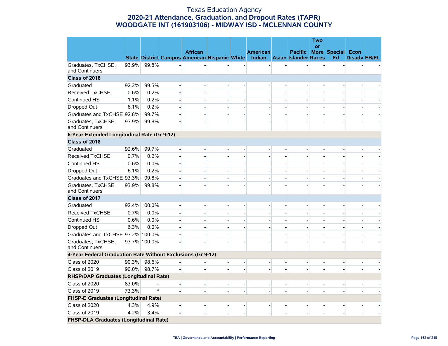#### Texas Education Agency **2020-21 Attendance, Graduation, and Dropout Rates (TAPR) WOODGATE INT (161903106) - MIDWAY ISD - MCLENNAN COUNTY**

|                                                             |       |              |                |                          |                                                                           |                | <b>Two</b><br>or         |                          |                          |  |
|-------------------------------------------------------------|-------|--------------|----------------|--------------------------|---------------------------------------------------------------------------|----------------|--------------------------|--------------------------|--------------------------|--|
|                                                             |       |              | <b>African</b> |                          | <b>American</b>                                                           | <b>Pacific</b> |                          | <b>More Special Econ</b> |                          |  |
|                                                             |       |              |                |                          | State District Campus American Hispanic White Indian Asian Islander Races |                |                          | Ed                       | <b>Disadv EB/EL</b>      |  |
| Graduates, TxCHSE,<br>and Continuers                        | 93.9% | 99.8%        |                |                          |                                                                           |                |                          |                          |                          |  |
| Class of 2018                                               |       |              |                |                          |                                                                           |                |                          |                          |                          |  |
| Graduated                                                   | 92.2% | 99.5%        |                |                          |                                                                           |                |                          |                          |                          |  |
| <b>Received TxCHSE</b>                                      | 0.6%  | 0.2%         |                |                          |                                                                           |                |                          |                          |                          |  |
| Continued HS                                                | 1.1%  | 0.2%         |                | $\overline{a}$           |                                                                           |                | $\overline{a}$           | $\overline{a}$           |                          |  |
| Dropped Out                                                 | 6.1%  | 0.2%         |                | $\overline{\phantom{a}}$ |                                                                           |                |                          | $\overline{\phantom{a}}$ |                          |  |
| Graduates and TxCHSE 92.8%                                  |       | 99.7%        |                |                          |                                                                           |                |                          |                          |                          |  |
| Graduates, TxCHSE,<br>and Continuers                        | 93.9% | 99.8%        |                |                          |                                                                           |                |                          |                          |                          |  |
| 6-Year Extended Longitudinal Rate (Gr 9-12)                 |       |              |                |                          |                                                                           |                |                          |                          |                          |  |
| Class of 2018                                               |       |              |                |                          |                                                                           |                |                          |                          |                          |  |
| Graduated                                                   | 92.6% | 99.7%        |                |                          |                                                                           |                |                          |                          |                          |  |
| Received TxCHSE                                             | 0.7%  | 0.2%         |                |                          |                                                                           |                |                          |                          |                          |  |
| Continued HS                                                | 0.6%  | 0.0%         |                |                          |                                                                           |                |                          |                          |                          |  |
| Dropped Out                                                 | 6.1%  | 0.2%         |                |                          |                                                                           |                |                          |                          |                          |  |
| Graduates and TxCHSE 93.3%                                  |       | 99.8%        |                |                          |                                                                           |                |                          |                          |                          |  |
| Graduates, TxCHSE,<br>and Continuers                        | 93.9% | 99.8%        |                |                          |                                                                           |                |                          |                          |                          |  |
| Class of 2017                                               |       |              |                |                          |                                                                           |                |                          |                          |                          |  |
| Graduated                                                   |       | 92.4% 100.0% |                |                          |                                                                           |                |                          |                          |                          |  |
| <b>Received TxCHSE</b>                                      | 0.7%  | 0.0%         |                |                          |                                                                           |                |                          |                          |                          |  |
| Continued HS                                                | 0.6%  | 0.0%         |                | $\blacksquare$           |                                                                           |                |                          | $\blacksquare$           |                          |  |
| Dropped Out                                                 | 6.3%  | 0.0%         |                |                          |                                                                           |                |                          |                          |                          |  |
| Graduates and TxCHSE 93.2% 100.0%                           |       |              |                |                          |                                                                           |                |                          |                          |                          |  |
| Graduates, TxCHSE,<br>and Continuers                        |       | 93.7% 100.0% |                |                          |                                                                           |                |                          |                          |                          |  |
| 4-Year Federal Graduation Rate Without Exclusions (Gr 9-12) |       |              |                |                          |                                                                           |                |                          |                          |                          |  |
| Class of 2020                                               | 90.3% | 98.6%        |                | $\blacksquare$           |                                                                           |                | $\overline{\phantom{a}}$ | $\blacksquare$           |                          |  |
| Class of 2019                                               |       | 90.0% 98.7%  |                |                          |                                                                           |                |                          |                          |                          |  |
| RHSP/DAP Graduates (Longitudinal Rate)                      |       |              |                |                          |                                                                           |                |                          |                          |                          |  |
| Class of 2020                                               | 83.0% |              |                | $\overline{a}$           |                                                                           |                |                          | $\overline{\phantom{a}}$ |                          |  |
| Class of 2019                                               | 73.3% |              |                | $\overline{a}$           | $\overline{a}$                                                            |                |                          | $\blacksquare$           | $\overline{\phantom{a}}$ |  |
| <b>FHSP-E Graduates (Longitudinal Rate)</b>                 |       |              |                |                          |                                                                           |                |                          |                          |                          |  |
| Class of 2020                                               | 4.3%  | 4.9%         |                |                          |                                                                           |                |                          |                          |                          |  |
| Class of 2019                                               | 4.2%  | 3.4%         |                |                          |                                                                           |                |                          |                          |                          |  |
| <b>FHSP-DLA Graduates (Longitudinal Rate)</b>               |       |              |                |                          |                                                                           |                |                          |                          |                          |  |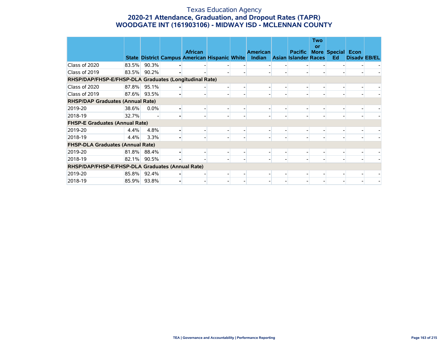#### Texas Education Agency **2020-21 Attendance, Graduation, and Dropout Rates (TAPR) WOODGATE INT (161903106) - MIDWAY ISD - MCLENNAN COUNTY**

|                                                        |       |             |                                                                        |                          |                                  |                                               | <b>Two</b><br>or |                                |                     |  |
|--------------------------------------------------------|-------|-------------|------------------------------------------------------------------------|--------------------------|----------------------------------|-----------------------------------------------|------------------|--------------------------------|---------------------|--|
|                                                        |       |             | <b>African</b><br><b>State District Campus American Hispanic White</b> |                          | <b>American</b><br><b>Indian</b> | <b>Pacific</b><br><b>Asian Islander Races</b> |                  | <b>More Special Econ</b><br>Ed | <b>Disady EB/EL</b> |  |
| Class of 2020                                          | 83.5% | 90.3%       |                                                                        |                          |                                  |                                               |                  |                                |                     |  |
| Class of 2019                                          | 83.5% | 90.2%       |                                                                        |                          |                                  |                                               |                  |                                |                     |  |
| RHSP/DAP/FHSP-E/FHSP-DLA Graduates (Longitudinal Rate) |       |             |                                                                        |                          |                                  |                                               |                  |                                |                     |  |
| Class of 2020                                          | 87.8% | 95.1%       |                                                                        |                          |                                  |                                               |                  |                                |                     |  |
| Class of 2019                                          | 87.6% | 93.5%       |                                                                        | $\overline{\phantom{0}}$ |                                  |                                               |                  |                                |                     |  |
| <b>RHSP/DAP Graduates (Annual Rate)</b>                |       |             |                                                                        |                          |                                  |                                               |                  |                                |                     |  |
| 2019-20                                                | 38.6% | $0.0\%$     |                                                                        |                          |                                  |                                               |                  |                                |                     |  |
| 2018-19                                                | 32.7% |             |                                                                        | $\overline{\phantom{a}}$ |                                  |                                               |                  |                                |                     |  |
| <b>FHSP-E Graduates (Annual Rate)</b>                  |       |             |                                                                        |                          |                                  |                                               |                  |                                |                     |  |
| 2019-20                                                | 4.4%  | 4.8%        |                                                                        |                          |                                  |                                               |                  |                                |                     |  |
| 2018-19                                                | 4.4%  | 3.3%        |                                                                        | $\overline{\phantom{0}}$ |                                  |                                               |                  |                                |                     |  |
| <b>FHSP-DLA Graduates (Annual Rate)</b>                |       |             |                                                                        |                          |                                  |                                               |                  |                                |                     |  |
| 2019-20                                                | 81.8% | 88.4%       |                                                                        |                          |                                  |                                               |                  |                                |                     |  |
| 2018-19                                                | 82.1% | 90.5%       |                                                                        |                          |                                  |                                               |                  |                                |                     |  |
| RHSP/DAP/FHSP-E/FHSP-DLA Graduates (Annual Rate)       |       |             |                                                                        |                          |                                  |                                               |                  |                                |                     |  |
| 2019-20                                                | 85.8% | 92.4%       |                                                                        |                          |                                  |                                               |                  |                                |                     |  |
| 2018-19                                                |       | 85.9% 93.8% |                                                                        |                          |                                  |                                               |                  |                                |                     |  |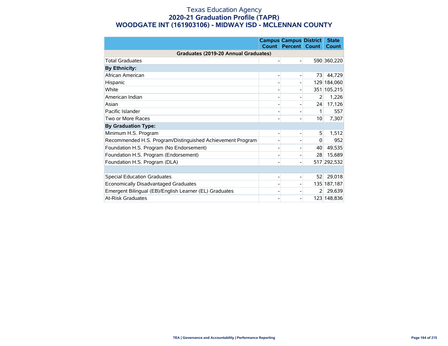#### Texas Education Agency **2020-21 Graduation Profile (TAPR) WOODGATE INT (161903106) - MIDWAY ISD - MCLENNAN COUNTY**

|                                                            | Count | <b>Campus Campus District</b><br><b>Percent</b> | Count       | <b>State</b><br>Count |
|------------------------------------------------------------|-------|-------------------------------------------------|-------------|-----------------------|
| Graduates (2019-20 Annual Graduates)                       |       |                                                 |             |                       |
| <b>Total Graduates</b>                                     |       |                                                 |             | 590 360,220           |
| <b>By Ethnicity:</b>                                       |       |                                                 |             |                       |
| African American                                           |       |                                                 | 73          | 44,729                |
| Hispanic                                                   |       |                                                 |             | 129 184,060           |
| White                                                      |       |                                                 | 351         | 105,215               |
| American Indian                                            |       |                                                 | 2           | 1,226                 |
| Asian                                                      |       |                                                 | 24          | 17,126                |
| Pacific Islander                                           |       |                                                 | 1           | 557                   |
| Two or More Races                                          |       |                                                 | 10          | 7,307                 |
| <b>By Graduation Type:</b>                                 |       |                                                 |             |                       |
| Minimum H.S. Program                                       |       |                                                 | 5           | 1,512                 |
| Recommended H.S. Program/Distinguished Achievement Program |       |                                                 | $\mathbf 0$ | 952                   |
| Foundation H.S. Program (No Endorsement)                   |       |                                                 | 40          | 49,535                |
| Foundation H.S. Program (Endorsement)                      |       |                                                 | 28          | 15,689                |
| Foundation H.S. Program (DLA)                              |       |                                                 |             | 517 292,532           |
|                                                            |       |                                                 |             |                       |
| <b>Special Education Graduates</b>                         |       |                                                 | 52          | 29,018                |
| Economically Disadvantaged Graduates                       |       |                                                 |             | 135 187,187           |
| Emergent Bilingual (EB)/English Learner (EL) Graduates     |       |                                                 | 2           | 29,639                |
| <b>At-Risk Graduates</b>                                   |       |                                                 |             | 123 148,836           |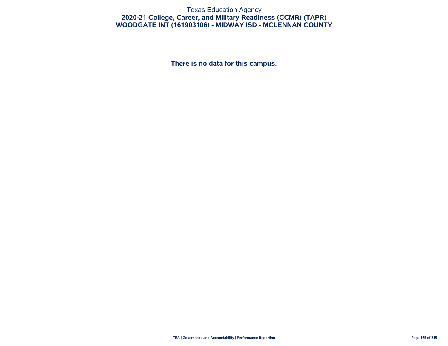#### Texas Education Agency **2020-21 College, Career, and Military Readiness (CCMR) (TAPR) WOODGATE INT (161903106) - MIDWAY ISD - MCLENNAN COUNTY**

**There is no data for this campus.**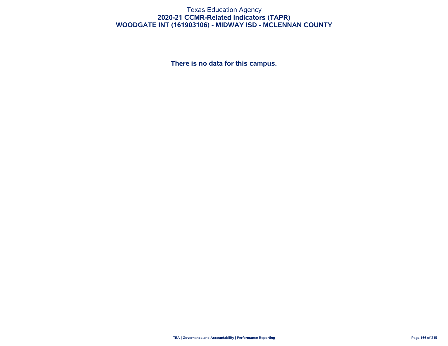#### Texas Education Agency **2020-21 CCMR-Related Indicators (TAPR) WOODGATE INT (161903106) - MIDWAY ISD - MCLENNAN COUNTY**

**There is no data for this campus.**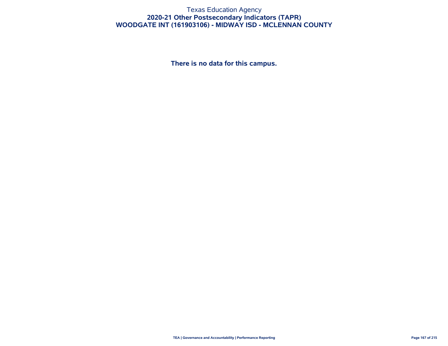#### Texas Education Agency **2020-21 Other Postsecondary Indicators (TAPR) WOODGATE INT (161903106) - MIDWAY ISD - MCLENNAN COUNTY**

**There is no data for this campus.**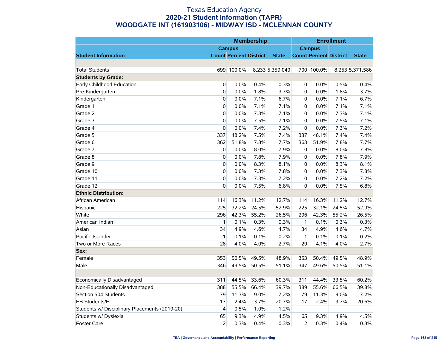#### Texas Education Agency **2020-21 Student Information (TAPR) WOODGATE INT (161903106) - MIDWAY ISD - MCLENNAN COUNTY**

|                                               |                |                               | <b>Membership</b> |                 |                |                               | <b>Enrollment</b> |                 |
|-----------------------------------------------|----------------|-------------------------------|-------------------|-----------------|----------------|-------------------------------|-------------------|-----------------|
|                                               |                | <b>Campus</b>                 |                   |                 |                | <b>Campus</b>                 |                   |                 |
| <b>Student Information</b>                    |                | <b>Count Percent District</b> |                   | <b>State</b>    |                | <b>Count Percent District</b> |                   | <b>State</b>    |
|                                               |                |                               |                   |                 |                |                               |                   |                 |
| <b>Total Students</b>                         |                | 699 100.0%                    |                   | 8,233 5,359,040 |                | 700 100.0%                    |                   | 8,253 5,371,586 |
| <b>Students by Grade:</b>                     |                |                               |                   |                 |                |                               |                   |                 |
| Early Childhood Education                     | 0              | 0.0%                          | 0.4%              | 0.3%            | 0              | 0.0%                          | 0.5%              | 0.4%            |
| Pre-Kindergarten                              | 0              | 0.0%                          | 1.8%              | 3.7%            | 0              | 0.0%                          | 1.8%              | 3.7%            |
| Kindergarten                                  | 0              | 0.0%                          | 7.1%              | 6.7%            | 0              | 0.0%                          | 7.1%              | 6.7%            |
| Grade 1                                       | 0              | 0.0%                          | 7.1%              | 7.1%            | 0              | 0.0%                          | 7.1%              | 7.1%            |
| Grade 2                                       | 0              | 0.0%                          | 7.3%              | 7.1%            | 0              | 0.0%                          | 7.3%              | 7.1%            |
| Grade 3                                       | $\mathbf 0$    | 0.0%                          | 7.5%              | 7.1%            | 0              | 0.0%                          | 7.5%              | 7.1%            |
| Grade 4                                       | $\mathbf 0$    | 0.0%                          | 7.4%              | 7.2%            | 0              | 0.0%                          | 7.3%              | 7.2%            |
| Grade 5                                       | 337            | 48.2%                         | 7.5%              | 7.4%            | 337            | 48.1%                         | 7.4%              | 7.4%            |
| Grade 6                                       | 362            | 51.8%                         | 7.8%              | 7.7%            | 363            | 51.9%                         | 7.8%              | 7.7%            |
| Grade 7                                       | 0              | 0.0%                          | 8.0%              | 7.9%            | 0              | 0.0%                          | 8.0%              | 7.8%            |
| Grade 8                                       | 0              | 0.0%                          | 7.8%              | 7.9%            | 0              | 0.0%                          | 7.8%              | 7.9%            |
| Grade 9                                       | 0              | 0.0%                          | 8.3%              | 8.1%            | 0              | 0.0%                          | 8.3%              | 8.1%            |
| Grade 10                                      | 0              | 0.0%                          | 7.3%              | 7.8%            | 0              | 0.0%                          | 7.3%              | 7.8%            |
| Grade 11                                      | $\mathbf 0$    | 0.0%                          | 7.3%              | 7.2%            | 0              | 0.0%                          | 7.2%              | 7.2%            |
| Grade 12                                      | 0              | 0.0%                          | 7.5%              | 6.8%            | $\mathbf 0$    | 0.0%                          | 7.5%              | 6.8%            |
| <b>Ethnic Distribution:</b>                   |                |                               |                   |                 |                |                               |                   |                 |
| African American                              | 114            | 16.3%                         | 11.2%             | 12.7%           | 114            | 16.3%                         | 11.2%             | 12.7%           |
| Hispanic                                      | 225            | 32.2%                         | 24.5%             | 52.9%           | 225            | 32.1%                         | 24.5%             | 52.9%           |
| White                                         | 296            | 42.3%                         | 55.2%             | 26.5%           | 296            | 42.3%                         | 55.2%             | 26.5%           |
| American Indian                               | 1              | 0.1%                          | 0.3%              | 0.3%            | $\mathbf{1}$   | 0.1%                          | 0.3%              | 0.3%            |
| Asian                                         | 34             | 4.9%                          | 4.6%              | 4.7%            | 34             | 4.9%                          | 4.6%              | 4.7%            |
| Pacific Islander                              | $\mathbf{1}$   | 0.1%                          | 0.1%              | 0.2%            | $\mathbf{1}$   | 0.1%                          | 0.1%              | 0.2%            |
| Two or More Races                             | 28             | 4.0%                          | 4.0%              | 2.7%            | 29             | 4.1%                          | 4.0%              | 2.7%            |
| Sex:                                          |                |                               |                   |                 |                |                               |                   |                 |
| Female                                        | 353            | 50.5%                         | 49.5%             | 48.9%           | 353            | 50.4%                         | 49.5%             | 48.9%           |
| Male                                          | 346            | 49.5%                         | 50.5%             | 51.1%           | 347            | 49.6%                         | 50.5%             | 51.1%           |
|                                               |                |                               |                   |                 |                |                               |                   |                 |
| Economically Disadvantaged                    | 311            | 44.5%                         | 33.6%             | 60.3%           | 311            | 44.4%                         | 33.5%             | 60.2%           |
| Non-Educationally Disadvantaged               | 388            | 55.5%                         | 66.4%             | 39.7%           | 389            | 55.6%                         | 66.5%             | 39.8%           |
| Section 504 Students                          | 79             | 11.3%                         | 9.0%              | 7.2%            | 79             | 11.3%                         | 9.0%              | 7.2%            |
| <b>EB Students/EL</b>                         | 17             | 2.4%                          | 3.7%              | 20.7%           | 17             | 2.4%                          | 3.7%              | 20.6%           |
| Students w/ Disciplinary Placements (2019-20) | $\overline{4}$ | 0.5%                          | 1.0%              | 1.2%            |                |                               |                   |                 |
| Students w/ Dyslexia                          | 65             | 9.3%                          | 4.9%              | 4.5%            | 65             | 9.3%                          | 4.9%              | 4.5%            |
| <b>Foster Care</b>                            | $\overline{2}$ | 0.3%                          | 0.4%              | 0.3%            | $\overline{2}$ | 0.3%                          | 0.4%              | 0.3%            |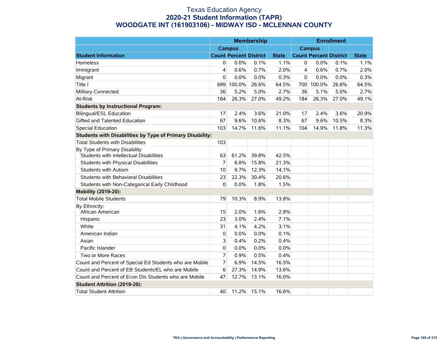#### Texas Education Agency **2020-21 Student Information (TAPR) WOODGATE INT (161903106) - MIDWAY ISD - MCLENNAN COUNTY**

|                                                                          |             |                               | <b>Membership</b> |              |             |                               | <b>Enrollment</b> |              |
|--------------------------------------------------------------------------|-------------|-------------------------------|-------------------|--------------|-------------|-------------------------------|-------------------|--------------|
|                                                                          |             | <b>Campus</b>                 |                   |              |             | <b>Campus</b>                 |                   |              |
| <b>Student Information</b>                                               |             | <b>Count Percent District</b> |                   | <b>State</b> |             | <b>Count Percent District</b> |                   | <b>State</b> |
| Homeless                                                                 | 0           | 0.0%                          | 0.1%              | 1.1%         | $\mathbf 0$ | 0.0%                          | 0.1%              | 1.1%         |
| Immigrant                                                                | 4           | 0.6%                          | 0.7%              | 2.0%         | 4           | 0.6%                          | 0.7%              | 2.0%         |
| Migrant                                                                  | $\mathbf 0$ | 0.0%                          | 0.0%              | 0.3%         | 0           | 0.0%                          | 0.0%              | 0.3%         |
| Title I                                                                  | 699         | 100.0%                        | 26.6%             | 64.5%        | 700         | 100.0%                        | 26.6%             | 64.5%        |
| Military Connected                                                       | 36          | 5.2%                          | 5.0%              | 2.7%         | 36          | 5.1%                          | 5.0%              | 2.7%         |
| At-Risk                                                                  | 184         | 26.3%                         | 27.0%             | 49.2%        | 184         | 26.3%                         | 27.0%             | 49.1%        |
| <b>Students by Instructional Program:</b>                                |             |                               |                   |              |             |                               |                   |              |
| <b>Bilingual/ESL Education</b>                                           | 17          | 2.4%                          | 3.6%              | 21.0%        | 17          | 2.4%                          | 3.6%              | 20.9%        |
| Gifted and Talented Education                                            | 67          | 9.6%                          | 10.6%             | 8.3%         | 67          | 9.6%                          | 10.5%             | 8.3%         |
| <b>Special Education</b>                                                 | 103         | 14.7%                         | 11.6%             | 11.1%        | 104         | 14.9%                         | 11.8%             | 11.3%        |
| Students with Disabilities by Type of Primary Disability:                |             |                               |                   |              |             |                               |                   |              |
| <b>Total Students with Disabilities</b>                                  | 103         |                               |                   |              |             |                               |                   |              |
| By Type of Primary Disability<br>Students with Intellectual Disabilities | 63          | 61.2%                         | 39.8%             | 42.5%        |             |                               |                   |              |
| Students with Physical Disabilities                                      | 7           | 6.8%                          | 15.8%             | 21.3%        |             |                               |                   |              |
| <b>Students with Autism</b>                                              | 10          | 9.7%                          | 12.3%             | 14.1%        |             |                               |                   |              |
| Students with Behavioral Disabilities                                    | 23          | 22.3%                         | 30.4%             | 20.6%        |             |                               |                   |              |
| Students with Non-Categorical Early Childhood                            | 0           | 0.0%                          | 1.8%              | 1.5%         |             |                               |                   |              |
| Mobility (2019-20):                                                      |             |                               |                   |              |             |                               |                   |              |
| <b>Total Mobile Students</b>                                             | 79          | 10.3%                         | 8.9%              | 13.8%        |             |                               |                   |              |
| By Ethnicity:<br>African American                                        | 15          | 2.0%                          | 1.6%              | 2.8%         |             |                               |                   |              |
| Hispanic                                                                 | 23          | 3.0%                          | 2.4%              | 7.1%         |             |                               |                   |              |
| White                                                                    | 31          | 4.1%                          | 4.2%              | 3.1%         |             |                               |                   |              |
| American Indian                                                          | 0           | 0.0%                          | 0.0%              | 0.1%         |             |                               |                   |              |
| Asian                                                                    | 3           | 0.4%                          | 0.2%              | 0.4%         |             |                               |                   |              |
| Pacific Islander                                                         | $\mathbf 0$ | 0.0%                          | 0.0%              | 0.0%         |             |                               |                   |              |
| Two or More Races                                                        | 7           | 0.9%                          | 0.5%              | 0.4%         |             |                               |                   |              |
| Count and Percent of Special Ed Students who are Mobile                  | 7           | 6.9%                          | 14.5%             | 16.5%        |             |                               |                   |              |
| Count and Percent of EB Students/EL who are Mobile                       | 6           | 27.3%                         | 14.9%             | 13.6%        |             |                               |                   |              |
| Count and Percent of Econ Dis Students who are Mobile                    | 47          | 12.7%                         | 13.1%             | 16.0%        |             |                               |                   |              |
| <b>Student Attrition (2019-20):</b>                                      |             |                               |                   |              |             |                               |                   |              |
| <b>Total Student Attrition</b>                                           | 40          | 11.2%                         | 15.1%             | 16.6%        |             |                               |                   |              |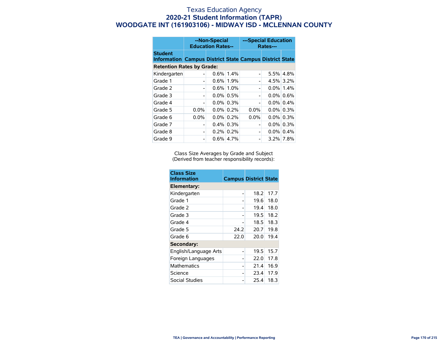#### Texas Education Agency **2020-21 Student Information (TAPR) WOODGATE INT (161903106) - MIDWAY ISD - MCLENNAN COUNTY**

|                                                                                  | --Non-Special<br><b>Education Rates--</b> |         |              | ---Special Education<br>Rates--- |  |              |  |
|----------------------------------------------------------------------------------|-------------------------------------------|---------|--------------|----------------------------------|--|--------------|--|
| <b>Student</b><br><b>Information Campus District State Campus District State</b> |                                           |         |              |                                  |  |              |  |
|                                                                                  | <b>Retention Rates by Grade:</b>          |         |              |                                  |  |              |  |
| Kindergarten                                                                     |                                           | $0.6\%$ | 1.4%         |                                  |  | 5.5% 4.8%    |  |
| Grade 1                                                                          |                                           |         | $0.6\%$ 1.9% | -                                |  | 4.5% 3.2%    |  |
| Grade 2                                                                          |                                           | $0.6\%$ | 1.0%         | -                                |  | $0.0\%$ 1.4% |  |
| Grade 3                                                                          |                                           |         | $0.0\%$ 0.5% | -                                |  | $0.0\%$ 0.6% |  |
| Grade 4                                                                          |                                           |         | $0.0\%$ 0.3% | -                                |  | $0.0\%$ 0.4% |  |
| Grade 5                                                                          | $0.0\%$                                   |         | $0.0\%$ 0.2% | 0.0%                             |  | $0.0\%$ 0.3% |  |
| Grade 6                                                                          | $0.0\%$                                   |         | $0.0\%$ 0.2% | 0.0%                             |  | $0.0\%$ 0.3% |  |
| Grade 7                                                                          |                                           |         | $0.4\%$ 0.3% | -                                |  | $0.0\%$ 0.3% |  |
| Grade 8                                                                          |                                           |         | $0.2\%$ 0.2% | $\overline{a}$                   |  | $0.0\%$ 0.4% |  |
| Grade 9                                                                          |                                           |         | $0.6\%$ 4.7% |                                  |  | 3.2% 7.8%    |  |

Class Size Averages by Grade and Subject (Derived from teacher responsibility records):

| <b>Class Size</b><br><b>Information</b> | <b>Campus District State</b> |      |      |  |  |
|-----------------------------------------|------------------------------|------|------|--|--|
| Elementary:                             |                              |      |      |  |  |
| Kindergarten                            |                              | 18.2 | 17.7 |  |  |
| Grade 1                                 |                              | 19.6 | 18.0 |  |  |
| Grade 2                                 |                              | 19.4 | 18.0 |  |  |
| Grade 3                                 |                              | 19.5 | 18.2 |  |  |
| Grade 4                                 |                              | 18.5 | 18.3 |  |  |
| Grade 5                                 | 24.2                         | 20.7 | 19.8 |  |  |
| Grade 6                                 | 22.0                         | 20.0 | 19.4 |  |  |
| Secondary:                              |                              |      |      |  |  |
| English/Language Arts                   |                              | 19.5 | 15.7 |  |  |
| Foreign Languages                       |                              | 22.0 | 17.8 |  |  |
| <b>Mathematics</b>                      |                              | 21.4 | 16.9 |  |  |
| Science                                 |                              | 23.4 | 17.9 |  |  |
| Social Studies                          |                              | 25.4 | 18.3 |  |  |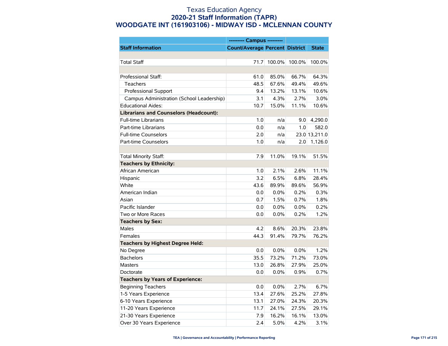#### Texas Education Agency **2020-21 Staff Information (TAPR) WOODGATE INT (161903106) - MIDWAY ISD - MCLENNAN COUNTY**

|                                               | --------- Campus ---------            |        |        |               |
|-----------------------------------------------|---------------------------------------|--------|--------|---------------|
| <b>Staff Information</b>                      | <b>Count/Average Percent District</b> |        |        | <b>State</b>  |
|                                               |                                       |        |        |               |
| <b>Total Staff</b>                            | 71.7                                  | 100.0% | 100.0% | 100.0%        |
|                                               |                                       |        |        |               |
| Professional Staff:                           | 61.0                                  | 85.0%  | 66.7%  | 64.3%         |
| Teachers                                      | 48.5                                  | 67.6%  | 49.4%  | 49.6%         |
| Professional Support                          | 9.4                                   | 13.2%  | 13.1%  | 10.6%         |
| Campus Administration (School Leadership)     | 3.1                                   | 4.3%   | 2.7%   | 3.0%          |
| <b>Educational Aides:</b>                     | 10.7                                  | 15.0%  | 11.1%  | 10.6%         |
| <b>Librarians and Counselors (Headcount):</b> |                                       |        |        |               |
| <b>Full-time Librarians</b>                   | 1.0                                   | n/a    | 9.0    | 4,290.0       |
| Part-time Librarians                          | 0.0                                   | n/a    | 1.0    | 582.0         |
| <b>Full-time Counselors</b>                   | 2.0                                   | n/a    |        | 23.0 13,211.0 |
| Part-time Counselors                          | 1.0                                   | n/a    | 2.0    | 1,126.0       |
|                                               |                                       |        |        |               |
| Total Minority Staff:                         | 7.9                                   | 11.0%  | 19.1%  | 51.5%         |
| <b>Teachers by Ethnicity:</b>                 |                                       |        |        |               |
| African American                              | 1.0                                   | 2.1%   | 2.6%   | 11.1%         |
| Hispanic                                      | 3.2                                   | 6.5%   | 6.8%   | 28.4%         |
| White                                         | 43.6                                  | 89.9%  | 89.6%  | 56.9%         |
| American Indian                               | 0.0                                   | 0.0%   | 0.2%   | 0.3%          |
| Asian                                         | 0.7                                   | 1.5%   | 0.7%   | 1.8%          |
| Pacific Islander                              | 0.0                                   | 0.0%   | 0.0%   | 0.2%          |
| Two or More Races                             | 0.0                                   | 0.0%   | 0.2%   | 1.2%          |
| <b>Teachers by Sex:</b>                       |                                       |        |        |               |
| <b>Males</b>                                  | 4.2                                   | 8.6%   | 20.3%  | 23.8%         |
| Females                                       | 44.3                                  | 91.4%  | 79.7%  | 76.2%         |
| <b>Teachers by Highest Degree Held:</b>       |                                       |        |        |               |
| No Degree                                     | 0.0                                   | 0.0%   | 0.0%   | 1.2%          |
| <b>Bachelors</b>                              | 35.5                                  | 73.2%  | 71.2%  | 73.0%         |
| <b>Masters</b>                                | 13.0                                  | 26.8%  | 27.9%  | 25.0%         |
| Doctorate                                     | 0.0                                   | 0.0%   | 0.9%   | 0.7%          |
| <b>Teachers by Years of Experience:</b>       |                                       |        |        |               |
| <b>Beginning Teachers</b>                     | 0.0                                   | 0.0%   | 2.7%   | 6.7%          |
| 1-5 Years Experience                          | 13.4                                  | 27.6%  | 25.2%  | 27.8%         |
| 6-10 Years Experience                         | 13.1                                  | 27.0%  | 24.3%  | 20.3%         |
| 11-20 Years Experience                        | 11.7                                  | 24.1%  | 27.5%  | 29.1%         |
| 21-30 Years Experience                        | 7.9                                   | 16.2%  | 16.1%  | 13.0%         |
| Over 30 Years Experience                      | 2.4                                   | 5.0%   | 4.2%   | 3.1%          |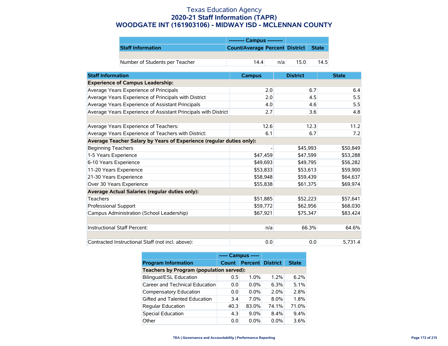#### Texas Education Agency **2020-21 Staff Information (TAPR) WOODGATE INT (161903106) - MIDWAY ISD - MCLENNAN COUNTY**

|                                | --------- Campus ---------           |              |  |  |
|--------------------------------|--------------------------------------|--------------|--|--|
| <b>Staff Information</b>       | Count/Average Percent District State |              |  |  |
|                                |                                      |              |  |  |
| Number of Students per Teacher | 14.4<br>n/a                          | 14.5<br>15 O |  |  |

| <b>Staff Information</b>                                             | <b>Campus</b> | <b>District</b> | <b>State</b> |  |  |  |
|----------------------------------------------------------------------|---------------|-----------------|--------------|--|--|--|
| <b>Experience of Campus Leadership:</b>                              |               |                 |              |  |  |  |
| Average Years Experience of Principals                               | 2.0           | 6.7             | 6.4          |  |  |  |
| Average Years Experience of Principals with District                 | 2.0           | 4.5             | 5.5          |  |  |  |
| Average Years Experience of Assistant Principals                     | 4.0           | 4.6             | 5.5          |  |  |  |
| Average Years Experience of Assistant Principals with District       | 2.7           | 3.6             | 4.8          |  |  |  |
|                                                                      |               |                 |              |  |  |  |
| Average Years Experience of Teachers:                                | 12.6          | 12.3            | 11.2         |  |  |  |
| Average Years Experience of Teachers with District:                  | 6.1           | 6.7             | 7.2          |  |  |  |
| Average Teacher Salary by Years of Experience (regular duties only): |               |                 |              |  |  |  |
| <b>Beginning Teachers</b>                                            |               | \$45,993        | \$50,849     |  |  |  |
| 1-5 Years Experience                                                 | \$47,459      | \$47,599        | \$53,288     |  |  |  |
| 6-10 Years Experience                                                | \$49,693      | \$49,795        | \$56,282     |  |  |  |
| 11-20 Years Experience                                               | \$53,833      | \$53,613        | \$59,900     |  |  |  |
| 21-30 Years Experience                                               | \$58,948      | \$59,439        | \$64,637     |  |  |  |
| Over 30 Years Experience                                             | \$55,838      | \$61,375        | \$69,974     |  |  |  |
| Average Actual Salaries (regular duties only):                       |               |                 |              |  |  |  |
| <b>Teachers</b>                                                      | \$51,885      | \$52,223        | \$57,641     |  |  |  |
| Professional Support                                                 | \$59,772      | \$62,956        | \$68,030     |  |  |  |
| Campus Administration (School Leadership)                            | \$67,921      | \$75,347        | \$83,424     |  |  |  |
|                                                                      |               |                 |              |  |  |  |
| Instructional Staff Percent:                                         | n/a           | 66.3%           | 64.6%        |  |  |  |
|                                                                      |               |                 |              |  |  |  |
| Contracted Instructional Staff (not incl. above):                    | 0.0           | 0.0             | 5,731.4      |  |  |  |

|                                          | ----- Campus ----- |                         |       |              |
|------------------------------------------|--------------------|-------------------------|-------|--------------|
| <b>Program Information</b>               | <b>Count</b>       | <b>Percent District</b> |       | <b>State</b> |
| Teachers by Program (population served): |                    |                         |       |              |
| <b>Bilingual/ESL Education</b>           | 0.5                | $1.0\%$                 | 1.2%  | 6.2%         |
| Career and Technical Education           | 0.0                | $0.0\%$                 | 6.3%  | 5.1%         |
| <b>Compensatory Education</b>            | 0.0                | $0.0\%$                 | 2.0%  | 2.8%         |
| Gifted and Talented Education            | 3.4                | 7.0%                    | 8.0%  | 1.8%         |
| <b>Regular Education</b>                 | 40.3               | 83.0%                   | 74.1% | 71.0%        |
| <b>Special Education</b>                 | 4.3                | $9.0\%$                 | 8.4%  | 9.4%         |
| Other                                    | 0.0                | $0.0\%$                 | 0.0%  | 3.6%         |